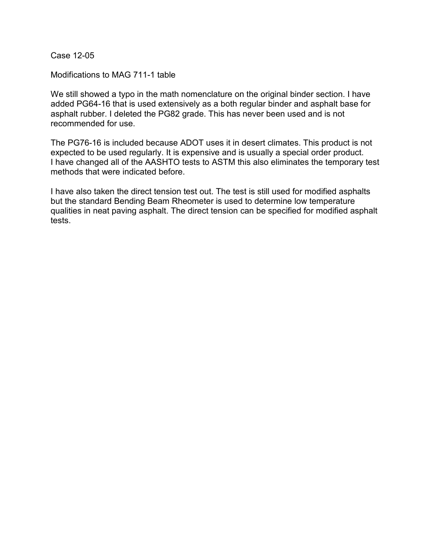Case 12-05

Modifications to MAG 711-1 table

We still showed a typo in the math nomenclature on the original binder section. I have added PG64-16 that is used extensively as a both regular binder and asphalt base for asphalt rubber. I deleted the PG82 grade. This has never been used and is not recommended for use.

The PG76-16 is included because ADOT uses it in desert climates. This product is not expected to be used regularly. It is expensive and is usually a special order product. I have changed all of the AASHTO tests to ASTM this also eliminates the temporary test methods that were indicated before.

I have also taken the direct tension test out. The test is still used for modified asphalts but the standard Bending Beam Rheometer is used to determine low temperature qualities in neat paving asphalt. The direct tension can be specified for modified asphalt tests.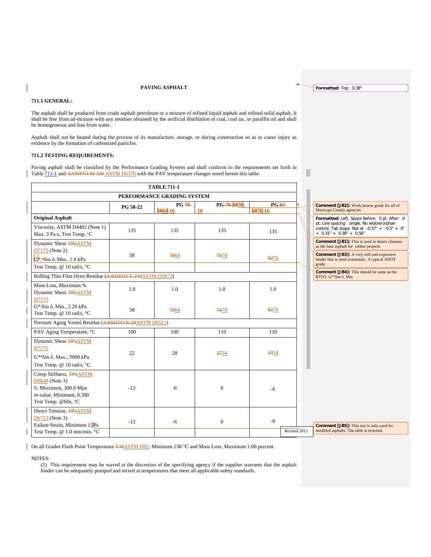#### **PAVING ASPHALT**

### **711.1 GENERAL:**

The asphalt shall be produced from crude asphalt petroleum or a mixture of refined liquid asphalt and refined solid asphalt. It shall be free from ad-mixture with any residues obtained by the artificial distillation of coal, coal tar, or paraffin oil and shall be homogeneous and free from water.

Asphalt shall not be heated during the process of its manufacture, storage, or during construction so as to cause injury as evidence by the formation of carbonized particles.

### **711.2 TESTING REQUIREMENTS:**

Paving asphalt shall be classified by the Performance Grading System and shall conform to the requirements set forth in Table 711-1 and AASHTO M-320 ASTM D6376 with the PAV temperature changes noted herein this table.

|                                                                                                                          |          | <b>TABLE 711-1</b>         |                          |                   |              |                                                                                                                                 |
|--------------------------------------------------------------------------------------------------------------------------|----------|----------------------------|--------------------------|-------------------|--------------|---------------------------------------------------------------------------------------------------------------------------------|
|                                                                                                                          |          | PERFORMANCE GRADING SYSTEM |                          |                   |              |                                                                                                                                 |
|                                                                                                                          | PG 58-22 | PG 70-<br>$1064 - 16$      | PG-76-1070-<br><b>10</b> | PG 82-<br>1076-16 |              | <b>Comment [JB2]:</b> Work hourse grade for all of<br>Maricopa County agencies                                                  |
| <b>Original Asphalt</b>                                                                                                  |          |                            |                          |                   |              | Formatted: Left, Space Before: 0 pt, After: 0                                                                                   |
| Viscosity, ASTM D4402 (Note 1)<br>Max. 3 Pa-s, Test Temp, °C                                                             | 135      | 135                        | 135                      | 135               |              | pt, Line spacing: single, No widow/orphan<br>control, Tab stops: Not at -0.57" + -0.5" + 0"<br>$+ 0.31$ " + $0.38$ " + $0.56$ " |
| Dynamic Shear <b>TP5ASTM</b>                                                                                             |          |                            |                          |                   |              | <b>Comment [JB1]:</b> This is used in desert climates<br>as the base asphalt for rubber projects                                |
| D7175 (Note 2)<br>$G^*$ /*Sin $\delta$ , Min., 1.0 kPa                                                                   | 58       | 7064                       | 7670                     | 8276              |              | <b>Comment [JB3]:</b> A very stiff and expensive<br>binder that is used ocasionaly. A typical ADOT<br>grade.                    |
| Test Temp. @ 10 rad/s, °C                                                                                                |          |                            |                          |                   |              | <b>Comment [JB4]:</b> This should be same as the                                                                                |
| Rolling Thin Film Oven Residue (AASHTO T-240ASTM D2872)                                                                  |          |                            |                          |                   |              | RTFO: G*/Sin δ, Min                                                                                                             |
| Mass Loss, Maximum %<br>Dynamic Shear <b>TP5ASTM</b><br>D7175                                                            | 1.0      | 1.0                        | 1.0                      | 1.0               |              |                                                                                                                                 |
| G*/Sin δ, Min., 2.20 kPa<br>Test Temp. @ 10 rad/s, °C                                                                    | 58       | 7064                       | 7670                     | 8276              |              |                                                                                                                                 |
| Pressure Aging Vessel Residue (AASHTO R-28ASTM D6521)                                                                    |          |                            |                          |                   |              |                                                                                                                                 |
| PAV Aging Temperature, °C                                                                                                | 100      | 100                        | 110                      | 110               |              |                                                                                                                                 |
| Dynamic Shear <b>TP5ASTM</b><br>D7175<br>G**Sin δ, Max., 5000 kPa<br>Test Temp. @ 10 rad/s, °C                           | 22       | 28                         | 3734                     | 3434              |              |                                                                                                                                 |
| Creep Stiffness, TP4ASTM<br>D6648 (Note 3)<br>S, Maximum, 300.0 Mpa<br>$m$ -value, Minimum, 0.300<br>Test Temp. @60s, °C | $-12$    | -6                         | $\Omega$                 | $-6$              |              |                                                                                                                                 |
| Direct Tension, <b>TP3ASTM</b><br>D6723 (Note 3)<br>Failure Strain, Minimum 1.0%<br>Test Temp. @ 1.0 mm/min. °C          | $-12$    | $-6$                       | $\mathbf{0}$             | $-6$              | Revised 2012 | <b>Comment [JB5]:</b> This test is only used for<br>modified asphalts. The table is restored.                                   |
|                                                                                                                          |          |                            |                          |                   |              |                                                                                                                                 |

On all Grades Flash Point Temperature **T48ASTM D92**: Minimum 230 °C and Mass Loss, Maximum 1.00 percent.

#### NOTES:

(1) This requirement may be waved at the discretion of the specifying agency if the supplier warrants that the asphalt binder can be adequately pumped and mixed at temperatures that meet all applicable safety standards.

#### **Formatted:** Top: 0.38"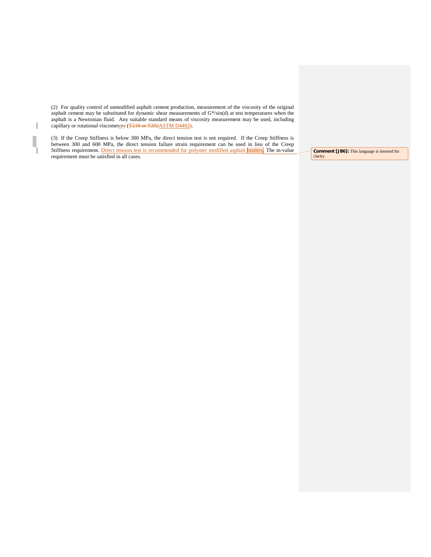(2) For quality control of unmodified asphalt cement production, measurement of the viscosity of the original asphalt cement may be substituted for dynamic shear measurements of G\*/sin(d) at test temperatures when the asphalt is a Newtonian fluid. Any suitable standard means of viscosity measurement may be used, including capillary or rotational viscometery (T210 or T202ASTM D4402).

 $\overline{\phantom{a}}$ 

(3) If the Creep Stiffness is below 300 MPa, the direct tension test is not required. If the Creep Stiffness is between 300 and 600 MPa, the direct tension failure strain requirement can be used in lieu of the Creep Stiffness requirement. Direct tension test is recommended for polymer modified asphalt binders. The m-value requirement must be satisfied in all cases.

**Comment [JB6]:** This language is inserted for clarity.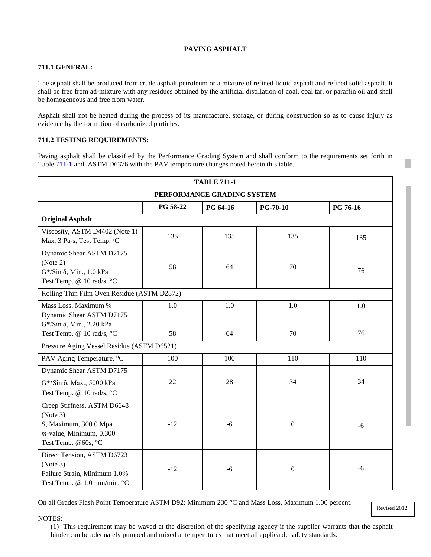## **PAVING ASPHALT**

## **711.1 GENERAL:**

The asphalt shall be produced from crude asphalt petroleum or a mixture of refined liquid asphalt and refined solid asphalt. It shall be free from ad-mixture with any residues obtained by the artificial distillation of coal, coal tar, or paraffin oil and shall be homogeneous and free from water.

Asphalt shall not be heated during the process of its manufacture, storage, or during construction so as to cause injury as evidence by the formation of carbonized particles.

# **711.2 TESTING REQUIREMENTS:**

Paving asphalt shall be classified by the Performance Grading System and shall conform to the requirements set forth in Table  $\overline{711-1}$  and ASTM D6376 with the PAV temperature changes noted herein this table.

| <b>TABLE 711-1</b>                                                                                                    |          |          |                  |          |  |  |  |  |  |
|-----------------------------------------------------------------------------------------------------------------------|----------|----------|------------------|----------|--|--|--|--|--|
| PERFORMANCE GRADING SYSTEM                                                                                            |          |          |                  |          |  |  |  |  |  |
|                                                                                                                       | PG 58-22 | PG 64-16 | $PG-70-10$       | PG 76-16 |  |  |  |  |  |
| <b>Original Asphalt</b>                                                                                               |          |          |                  |          |  |  |  |  |  |
| Viscosity, ASTM D4402 (Note 1)<br>Max. 3 Pa-s, Test Temp, °C                                                          | 135      | 135      | 135              | 135      |  |  |  |  |  |
| Dynamic Shear ASTM D7175<br>(Note 2)<br>G*/Sin δ, Min., 1.0 kPa<br>Test Temp. @ 10 rad/s, °C                          | 58       | 64       | 70               | 76       |  |  |  |  |  |
| Rolling Thin Film Oven Residue (ASTM D2872)                                                                           |          |          |                  |          |  |  |  |  |  |
| Mass Loss, Maximum %<br>Dynamic Shear ASTM D7175<br>G*/Sin δ, Min., 2.20 kPa                                          | 1.0      | 1.0      | 1.0              | 1.0      |  |  |  |  |  |
| Test Temp. @ 10 rad/s, °C                                                                                             | 58       | 64       | 70               | 76       |  |  |  |  |  |
| Pressure Aging Vessel Residue (ASTM D6521)                                                                            |          |          |                  |          |  |  |  |  |  |
| PAV Aging Temperature, °C                                                                                             | 100      | 100      | 110              | 110      |  |  |  |  |  |
| Dynamic Shear ASTM D7175<br>G**Sin δ, Max., 5000 kPa<br>Test Temp. @ 10 rad/s, °C                                     | 22       | 28       | 34               | 34       |  |  |  |  |  |
| Creep Stiffness, ASTM D6648<br>(Note 3)<br>S, Maximum, 300.0 Mpa<br>$m$ -value, Minimum, 0.300<br>Test Temp. @60s, °C | $-12$    | $-6$     | $\boldsymbol{0}$ | -6       |  |  |  |  |  |
| Direct Tension, ASTM D6723<br>(Note 3)<br>Failure Strain, Minimum 1.0%<br>Test Temp. @ 1.0 mm/min. °C                 | $-12$    | $-6$     | $\boldsymbol{0}$ | $-6$     |  |  |  |  |  |

On all Grades Flash Point Temperature ASTM D92: Minimum 230 °C and Mass Loss, Maximum 1.00 percent.

Revised 2012

NOTES:

(1) This requirement may be waved at the discretion of the specifying agency if the supplier warrants that the asphalt binder can be adequately pumped and mixed at temperatures that meet all applicable safety standards.